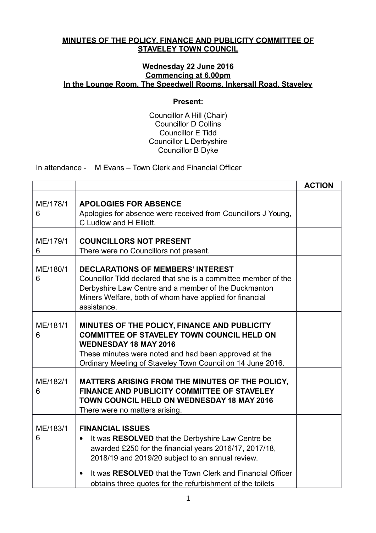## **MINUTES OF THE POLICY, FINANCE AND PUBLICITY COMMITTEE OF STAVELEY TOWN COUNCIL**

## **Wednesday 22 June 2016 Commencing at 6.00pm In the Lounge Room, The Speedwell Rooms, Inkersall Road, Staveley**

## **Present:**

Councillor A Hill (Chair) Councillor D Collins Councillor E Tidd Councillor L Derbyshire Councillor B Dyke

In attendance - M Evans – Town Clerk and Financial Officer

|               |                                                                                                                                                                                                                                                          | <b>ACTION</b> |
|---------------|----------------------------------------------------------------------------------------------------------------------------------------------------------------------------------------------------------------------------------------------------------|---------------|
| ME/178/1<br>6 | <b>APOLOGIES FOR ABSENCE</b><br>Apologies for absence were received from Councillors J Young,<br>C Ludlow and H Elliott.                                                                                                                                 |               |
| ME/179/1<br>6 | <b>COUNCILLORS NOT PRESENT</b><br>There were no Councillors not present.                                                                                                                                                                                 |               |
| ME/180/1<br>6 | <b>DECLARATIONS OF MEMBERS' INTEREST</b><br>Councillor Tidd declared that she is a committee member of the<br>Derbyshire Law Centre and a member of the Duckmanton<br>Miners Welfare, both of whom have applied for financial<br>assistance.             |               |
| ME/181/1<br>6 | MINUTES OF THE POLICY, FINANCE AND PUBLICITY<br><b>COMMITTEE OF STAVELEY TOWN COUNCIL HELD ON</b><br><b>WEDNESDAY 18 MAY 2016</b><br>These minutes were noted and had been approved at the<br>Ordinary Meeting of Staveley Town Council on 14 June 2016. |               |
| ME/182/1<br>6 | MATTERS ARISING FROM THE MINUTES OF THE POLICY,<br>FINANCE AND PUBLICITY COMMITTEE OF STAVELEY<br><b>TOWN COUNCIL HELD ON WEDNESDAY 18 MAY 2016</b><br>There were no matters arising.                                                                    |               |
| ME/183/1<br>6 | <b>FINANCIAL ISSUES</b><br>It was RESOLVED that the Derbyshire Law Centre be<br>awarded £250 for the financial years 2016/17, 2017/18,<br>2018/19 and 2019/20 subject to an annual review.                                                               |               |
|               | It was RESOLVED that the Town Clerk and Financial Officer<br>obtains three quotes for the refurbishment of the toilets                                                                                                                                   |               |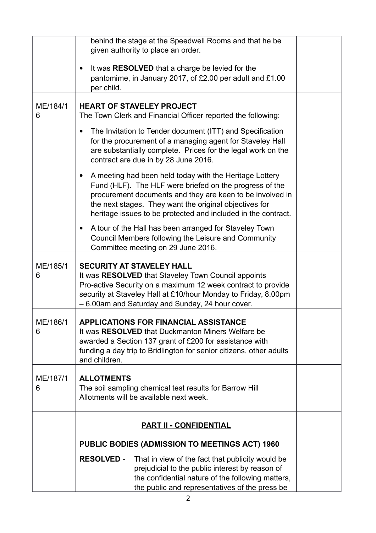|               | behind the stage at the Speedwell Rooms and that he be<br>given authority to place an order.                                                                                                                                                                                                                            |  |
|---------------|-------------------------------------------------------------------------------------------------------------------------------------------------------------------------------------------------------------------------------------------------------------------------------------------------------------------------|--|
|               | It was <b>RESOLVED</b> that a charge be levied for the<br>$\bullet$<br>pantomime, in January 2017, of £2.00 per adult and £1.00<br>per child.                                                                                                                                                                           |  |
| ME/184/1<br>6 | <b>HEART OF STAVELEY PROJECT</b><br>The Town Clerk and Financial Officer reported the following:                                                                                                                                                                                                                        |  |
|               | The Invitation to Tender document (ITT) and Specification<br>٠<br>for the procurement of a managing agent for Staveley Hall<br>are substantially complete. Prices for the legal work on the<br>contract are due in by 28 June 2016.                                                                                     |  |
|               | A meeting had been held today with the Heritage Lottery<br>$\bullet$<br>Fund (HLF). The HLF were briefed on the progress of the<br>procurement documents and they are keen to be involved in<br>the next stages. They want the original objectives for<br>heritage issues to be protected and included in the contract. |  |
|               | A tour of the Hall has been arranged for Staveley Town<br>Council Members following the Leisure and Community<br>Committee meeting on 29 June 2016.                                                                                                                                                                     |  |
| ME/185/1<br>6 | <b>SECURITY AT STAVELEY HALL</b><br>It was RESOLVED that Staveley Town Council appoints<br>Pro-active Security on a maximum 12 week contract to provide<br>security at Staveley Hall at £10/hour Monday to Friday, 8.00pm<br>- 6.00am and Saturday and Sunday, 24 hour cover.                                           |  |
| ME/186/1<br>6 | <b>APPLICATIONS FOR FINANCIAL ASSISTANCE</b><br>It was RESOLVED that Duckmanton Miners Welfare be<br>awarded a Section 137 grant of £200 for assistance with<br>funding a day trip to Bridlington for senior citizens, other adults<br>and children.                                                                    |  |
| ME/187/1<br>6 | <b>ALLOTMENTS</b><br>The soil sampling chemical test results for Barrow Hill<br>Allotments will be available next week.                                                                                                                                                                                                 |  |
|               | <b>PART II - CONFIDENTIAL</b>                                                                                                                                                                                                                                                                                           |  |
|               | PUBLIC BODIES (ADMISSION TO MEETINGS ACT) 1960                                                                                                                                                                                                                                                                          |  |
|               | <b>RESOLVED -</b><br>That in view of the fact that publicity would be<br>prejudicial to the public interest by reason of<br>the confidential nature of the following matters,<br>the public and representatives of the press be                                                                                         |  |